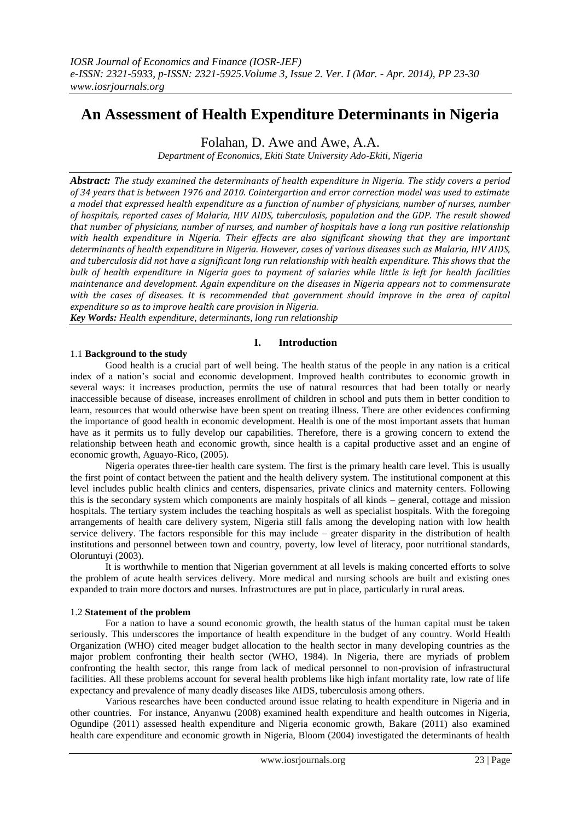## **An Assessment of Health Expenditure Determinants in Nigeria**

Folahan, D. Awe and Awe, A.A.

*Department of Economics, Ekiti State University Ado-Ekiti, Nigeria*

*Abstract: The study examined the determinants of health expenditure in Nigeria. The stidy covers a period of 34 years that is between 1976 and 2010. Cointergartion and error correction model was used to estimate a model that expressed health expenditure as a function of number of physicians, number of nurses, number of hospitals, reported cases of Malaria, HIV AIDS, tuberculosis, population and the GDP. The result showed that number of physicians, number of nurses, and number of hospitals have a long run positive relationship with health expenditure in Nigeria. Their effects are also significant showing that they are important determinants of health expenditure in Nigeria. However, cases of various diseases such as Malaria, HIV AIDS, and tuberculosis did not have a significant long run relationship with health expenditure. This shows that the bulk of health expenditure in Nigeria goes to payment of salaries while little is left for health facilities maintenance and development. Again expenditure on the diseases in Nigeria appears not to commensurate with the cases of diseases. It is recommended that government should improve in the area of capital expenditure so as to improve health care provision in Nigeria.*

*Key Words: Health expenditure, determinants, long run relationship* 

## **I. Introduction**

### 1.1 **Background to the study**

Good health is a crucial part of well being. The health status of the people in any nation is a critical index of a nation"s social and economic development. Improved health contributes to economic growth in several ways: it increases production, permits the use of natural resources that had been totally or nearly inaccessible because of disease, increases enrollment of children in school and puts them in better condition to learn, resources that would otherwise have been spent on treating illness. There are other evidences confirming the importance of good health in economic development. Health is one of the most important assets that human have as it permits us to fully develop our capabilities. Therefore, there is a growing concern to extend the relationship between heath and economic growth, since health is a capital productive asset and an engine of economic growth, Aguayo-Rico, (2005).

Nigeria operates three-tier health care system. The first is the primary health care level. This is usually the first point of contact between the patient and the health delivery system. The institutional component at this level includes public health clinics and centers, dispensaries, private clinics and maternity centers. Following this is the secondary system which components are mainly hospitals of all kinds – general, cottage and mission hospitals. The tertiary system includes the teaching hospitals as well as specialist hospitals. With the foregoing arrangements of health care delivery system, Nigeria still falls among the developing nation with low health service delivery. The factors responsible for this may include – greater disparity in the distribution of health institutions and personnel between town and country, poverty, low level of literacy, poor nutritional standards, Oloruntuyi (2003).

It is worthwhile to mention that Nigerian government at all levels is making concerted efforts to solve the problem of acute health services delivery. More medical and nursing schools are built and existing ones expanded to train more doctors and nurses. Infrastructures are put in place, particularly in rural areas.

#### 1.2 **Statement of the problem**

For a nation to have a sound economic growth, the health status of the human capital must be taken seriously. This underscores the importance of health expenditure in the budget of any country. World Health Organization (WHO) cited meager budget allocation to the health sector in many developing countries as the major problem confronting their health sector (WHO, 1984). In Nigeria, there are myriads of problem confronting the health sector, this range from lack of medical personnel to non-provision of infrastructural facilities. All these problems account for several health problems like high infant mortality rate, low rate of life expectancy and prevalence of many deadly diseases like AIDS, tuberculosis among others.

Various researches have been conducted around issue relating to health expenditure in Nigeria and in other countries. For instance, Anyanwu (2008) examined health expenditure and health outcomes in Nigeria, Ogundipe (2011) assessed health expenditure and Nigeria economic growth, Bakare (2011) also examined health care expenditure and economic growth in Nigeria, Bloom (2004) investigated the determinants of health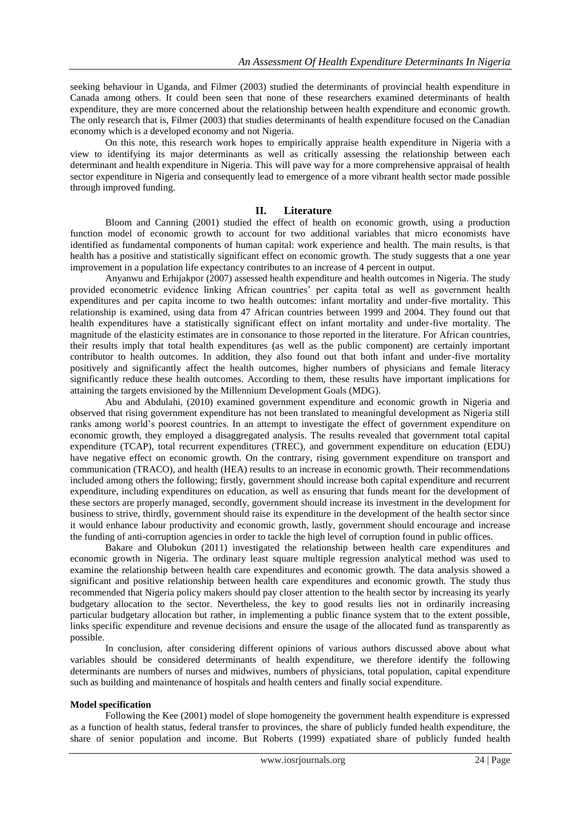seeking behaviour in Uganda, and Filmer (2003) studied the determinants of provincial health expenditure in Canada among others. It could been seen that none of these researchers examined determinants of health expenditure, they are more concerned about the relationship between health expenditure and economic growth. The only research that is, Filmer (2003) that studies determinants of health expenditure focused on the Canadian economy which is a developed economy and not Nigeria.

On this note, this research work hopes to empirically appraise health expenditure in Nigeria with a view to identifying its major determinants as well as critically assessing the relationship between each determinant and health expenditure in Nigeria. This will pave way for a more comprehensive appraisal of health sector expenditure in Nigeria and consequently lead to emergence of a more vibrant health sector made possible through improved funding.

#### **II. Literature**

Bloom and Canning (2001) studied the effect of health on economic growth, using a production function model of economic growth to account for two additional variables that micro economists have identified as fundamental components of human capital: work experience and health. The main results, is that health has a positive and statistically significant effect on economic growth. The study suggests that a one year improvement in a population life expectancy contributes to an increase of 4 percent in output.

Anyanwu and Erhijakpor (2007) assessed health expenditure and health outcomes in Nigeria. The study provided econometric evidence linking African countries' per capita total as well as government health expenditures and per capita income to two health outcomes: infant mortality and under-five mortality. This relationship is examined, using data from 47 African countries between 1999 and 2004. They found out that health expenditures have a statistically significant effect on infant mortality and under-five mortality. The magnitude of the elasticity estimates are in consonance to those reported in the literature. For African countries, their results imply that total health expenditures (as well as the public component) are certainly important contributor to health outcomes. In addition, they also found out that both infant and under-five mortality positively and significantly affect the health outcomes, higher numbers of physicians and female literacy significantly reduce these health outcomes. According to them, these results have important implications for attaining the targets envisioned by the Millennium Development Goals (MDG).

Abu and Abdulahi, (2010) examined government expenditure and economic growth in Nigeria and observed that rising government expenditure has not been translated to meaningful development as Nigeria still ranks among world"s poorest countries. In an attempt to investigate the effect of government expenditure on economic growth, they employed a disaggregated analysis. The results revealed that government total capital expenditure (TCAP), total recurrent expenditures (TREC), and government expenditure on education (EDU) have negative effect on economic growth. On the contrary, rising government expenditure on transport and communication (TRACO), and health (HEA) results to an increase in economic growth. Their recommendations included among others the following; firstly, government should increase both capital expenditure and recurrent expenditure, including expenditures on education, as well as ensuring that funds meant for the development of these sectors are properly managed, secondly, government should increase its investment in the development for business to strive, thirdly, government should raise its expenditure in the development of the health sector since it would enhance labour productivity and economic growth, lastly, government should encourage and increase the funding of anti-corruption agencies in order to tackle the high level of corruption found in public offices.

Bakare and Olubokun (2011) investigated the relationship between health care expenditures and economic growth in Nigeria. The ordinary least square multiple regression analytical method was used to examine the relationship between health care expenditures and economic growth. The data analysis showed a significant and positive relationship between health care expenditures and economic growth. The study thus recommended that Nigeria policy makers should pay closer attention to the health sector by increasing its yearly budgetary allocation to the sector. Nevertheless, the key to good results lies not in ordinarily increasing particular budgetary allocation but rather, in implementing a public finance system that to the extent possible, links specific expenditure and revenue decisions and ensure the usage of the allocated fund as transparently as possible.

In conclusion, after considering different opinions of various authors discussed above about what variables should be considered determinants of health expenditure, we therefore identify the following determinants are numbers of nurses and midwives, numbers of physicians, total population, capital expenditure such as building and maintenance of hospitals and health centers and finally social expenditure.

#### **Model specification**

Following the Kee (2001) model of slope homogeneity the government health expenditure is expressed as a function of health status, federal transfer to provinces, the share of publicly funded health expenditure, the share of senior population and income. But Roberts (1999) expatiated share of publicly funded health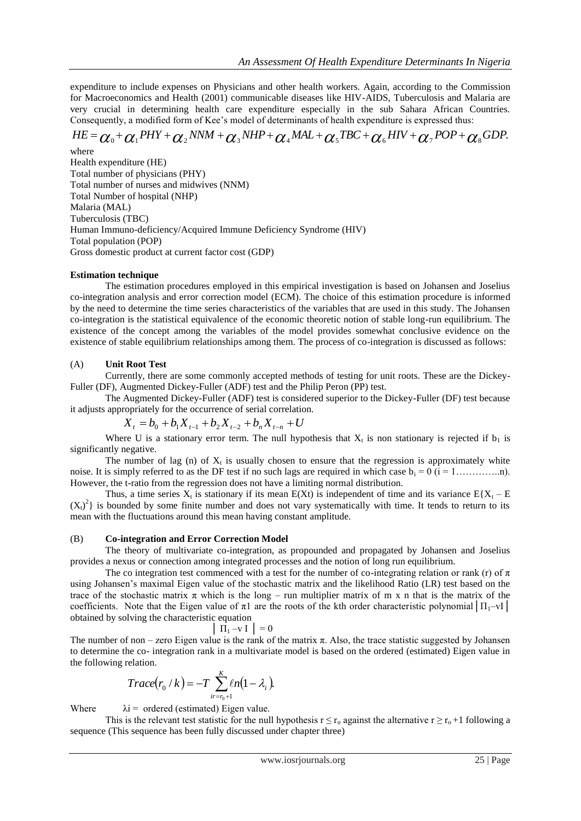expenditure to include expenses on Physicians and other health workers. Again, according to the Commission for Macroeconomics and Health (2001) communicable diseases like HIV-AIDS, Tuberculosis and Malaria are very crucial in determining health care expenditure especially in the sub Sahara African Countries. Consequently, a modified form of Kee"s model of determinants of health expenditure is expressed thus:

# $\delta H E = \alpha_0 + \alpha_1 P HY + \alpha_2 NNM + \alpha_3 NHP + \alpha_4 MAL + \alpha_5 TBC + \alpha_6 HIV + \alpha_7 POP + \alpha_8 GDP.$

where Health expenditure (HE) Total number of physicians (PHY) Total number of nurses and midwives (NNM) Total Number of hospital (NHP) Malaria (MAL) Tuberculosis (TBC) Human Immuno-deficiency/Acquired Immune Deficiency Syndrome (HIV) Total population (POP) Gross domestic product at current factor cost (GDP)

#### **Estimation technique**

The estimation procedures employed in this empirical investigation is based on Johansen and Joselius co-integration analysis and error correction model (ECM). The choice of this estimation procedure is informed by the need to determine the time series characteristics of the variables that are used in this study. The Johansen co-integration is the statistical equivalence of the economic theoretic notion of stable long-run equilibrium. The existence of the concept among the variables of the model provides somewhat conclusive evidence on the existence of stable equilibrium relationships among them. The process of co-integration is discussed as follows:

#### (A) **Unit Root Test**

Currently, there are some commonly accepted methods of testing for unit roots. These are the Dickey-Fuller (DF), Augmented Dickey-Fuller (ADF) test and the Philip Peron (PP) test.

The Augmented Dickey-Fuller (ADF) test is considered superior to the Dickey-Fuller (DF) test because it adjusts appropriately for the occurrence of serial correlation.

$$
X_{t} = b_{0} + b_{1}X_{t-1} + b_{2}X_{t-2} + b_{n}X_{t-n} + U
$$

Where U is a stationary error term. The null hypothesis that  $X_t$  is non stationary is rejected if  $b_1$  is significantly negative.

The number of lag  $(n)$  of  $X_t$  is usually chosen to ensure that the regression is approximately white noise. It is simply referred to as the DF test if no such lags are required in which case b<sup>i</sup> = 0 (i = 1…………..n). However, the t-ratio from the regression does not have a limiting normal distribution.

Thus, a time series  $X_t$  is stationary if its mean  $E(Xt)$  is independent of time and its variance  $E\{X_t - E\}$  $(X_t)^2$  is bounded by some finite number and does not vary systematically with time. It tends to return to its mean with the fluctuations around this mean having constant amplitude.

#### (B) **Co-integration and Error Correction Model**

The theory of multivariate co-integration, as propounded and propagated by Johansen and Joselius provides a nexus or connection among integrated processes and the notion of long run equilibrium.

The co integration test commenced with a test for the number of co-integrating relation or rank (r) of  $\pi$ using Johansen"s maximal Eigen value of the stochastic matrix and the likelihood Ratio (LR) test based on the trace of the stochastic matrix  $\pi$  which is the long – run multiplier matrix of m x n that is the matrix of the coefficients. Note that the Eigen value of  $\pi$ 1 are the roots of the kth order characteristic polynomial  $|\Pi_1 - vI|$ obtained by solving the characteristic equation

$$
\left| \begin{array}{c} \Pi_1 - v \end{array} \right| = 0
$$

The number of non – zero Eigen value is the rank of the matrix  $\pi$ . Also, the trace statistic suggested by Johansen to determine the co- integration rank in a multivariate model is based on the ordered (estimated) Eigen value in the following relation.

$$
Trace(r_0/k) = -T \sum_{ir=r_0+1}^{K} \ell n (1 - \lambda_i).
$$

Where  $\lambda i =$  ordered (estimated) Eigen value.

This is the relevant test statistic for the null hypothesis  $r \le r_0$  against the alternative  $r \ge r_0 + 1$  following a sequence (This sequence has been fully discussed under chapter three)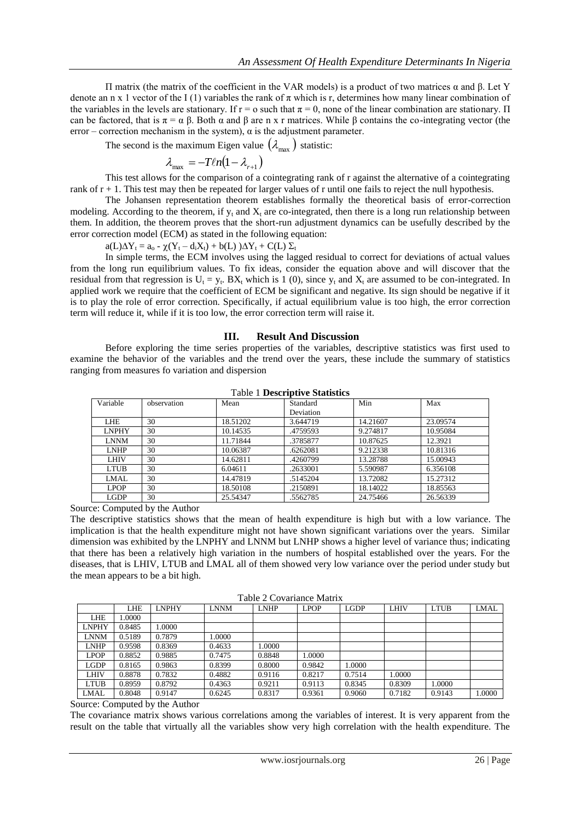Π matrix (the matrix of the coefficient in the VAR models) is a product of two matrices α and β. Let Y denote an n x 1 vector of the I (1) variables the rank of  $\pi$  which is r, determines how many linear combination of the variables in the levels are stationary. If  $r = o$  such that  $\pi = 0$ , none of the linear combination are stationary.  $\Pi$ can be factored, that is  $\pi = \alpha \beta$ . Both  $\alpha$  and  $\beta$  are n x r matrices. While  $\beta$  contains the co-integrating vector (the error – correction mechanism in the system),  $\alpha$  is the adjustment parameter.

The second is the maximum Eigen value  $(\lambda_{\text{max}})$  statistic:

$$
\lambda_{\max}^{}=-T\ell n(1-\lambda_{_{r+1}})
$$

This test allows for the comparison of a cointegrating rank of r against the alternative of a cointegrating rank of  $r + 1$ . This test may then be repeated for larger values of r until one fails to reject the null hypothesis.

The Johansen representation theorem establishes formally the theoretical basis of error-correction modeling. According to the theorem, if  $y_t$  and  $X_t$  are co-integrated, then there is a long run relationship between them. In addition, the theorem proves that the short-run adjustment dynamics can be usefully described by the error correction model (ECM) as stated in the following equation:

 $a(L)\Delta Y_t = a_0 - \chi(Y_t - d_iX_t) + b(L) \Delta Y_t + C(L) \Sigma_t$ 

In simple terms, the ECM involves using the lagged residual to correct for deviations of actual values from the long run equilibrium values. To fix ideas, consider the equation above and will discover that the residual from that regression is  $U_t = y_t$ . BX<sub>t</sub> which is 1 (0), since  $y_t$  and  $X_t$  are assumed to be con-integrated. In applied work we require that the coefficient of ECM be significant and negative. Its sign should be negative if it is to play the role of error correction. Specifically, if actual equilibrium value is too high, the error correction term will reduce it, while if it is too low, the error correction term will raise it.

#### **III. Result And Discussion**

Before exploring the time series properties of the variables, descriptive statistics was first used to examine the behavior of the variables and the trend over the years, these include the summary of statistics ranging from measures fo variation and dispersion

| Variable     | observation | Mean     | Standard  | Min      | Max      |
|--------------|-------------|----------|-----------|----------|----------|
|              |             |          | Deviation |          |          |
| LHE          | 30          | 18.51202 | 3.644719  | 14.21607 | 23.09574 |
| <b>LNPHY</b> | 30          | 10.14535 | .4759593  | 9.274817 | 10.95084 |
| <b>LNNM</b>  | 30          | 11.71844 | .3785877  | 10.87625 | 12.3921  |
| <b>LNHP</b>  | 30          | 10.06387 | .6262081  | 9.212338 | 10.81316 |
| LHIV         | 30          | 14.62811 | .4260799  | 13.28788 | 15.00943 |
| <b>LTUB</b>  | 30          | 6.04611  | .2633001  | 5.590987 | 6.356108 |
| LMAL         | 30          | 14.47819 | .5145204  | 13.72082 | 15.27312 |
| <b>LPOP</b>  | 30          | 18.50108 | .2150891  | 18.14022 | 18.85563 |
| LGDP         | 30          | 25.54347 | .5562785  | 24.75466 | 26.56339 |

Table 1 **Descriptive Statistics**

Source: Computed by the Author

The descriptive statistics shows that the mean of health expenditure is high but with a low variance. The implication is that the health expenditure might not have shown significant variations over the years. Similar dimension was exhibited by the LNPHY and LNNM but LNHP shows a higher level of variance thus; indicating that there has been a relatively high variation in the numbers of hospital established over the years. For the diseases, that is LHIV, LTUB and LMAL all of them showed very low variance over the period under study but the mean appears to be a bit high.

Table 2 Covariance Matrix

| $14010 \n\pm 0.000$ |        |              |             |             |             |             |             |             |        |
|---------------------|--------|--------------|-------------|-------------|-------------|-------------|-------------|-------------|--------|
|                     | LHE    | <b>LNPHY</b> | <b>LNNM</b> | <b>LNHP</b> | <b>LPOP</b> | <b>LGDP</b> | <b>LHIV</b> | <b>LTUB</b> | LMAL   |
| <b>LHE</b>          | 1.0000 |              |             |             |             |             |             |             |        |
| <b>LNPHY</b>        | 0.8485 | .0000        |             |             |             |             |             |             |        |
| LNNM                | 0.5189 | 0.7879       | 1.0000      |             |             |             |             |             |        |
| <b>LNHP</b>         | 0.9598 | 0.8369       | 0.4633      | 1.0000      |             |             |             |             |        |
| <b>LPOP</b>         | 0.8852 | 0.9885       | 0.7475      | 0.8848      | 1.0000      |             |             |             |        |
| LGDP                | 0.8165 | 0.9863       | 0.8399      | 0.8000      | 0.9842      | 1.0000      |             |             |        |
| LHIV                | 0.8878 | 0.7832       | 0.4882      | 0.9116      | 0.8217      | 0.7514      | 1.0000      |             |        |
| <b>LTUB</b>         | 0.8959 | 0.8792       | 0.4363      | 0.9211      | 0.9113      | 0.8345      | 0.8309      | 1.0000      |        |
| LMAL                | 0.8048 | 0.9147       | 0.6245      | 0.8317      | 0.9361      | 0.9060      | 0.7182      | 0.9143      | 1.0000 |
|                     |        |              |             |             |             |             |             |             |        |

Source: Computed by the Author

The covariance matrix shows various correlations among the variables of interest. It is very apparent from the result on the table that virtually all the variables show very high correlation with the health expenditure. The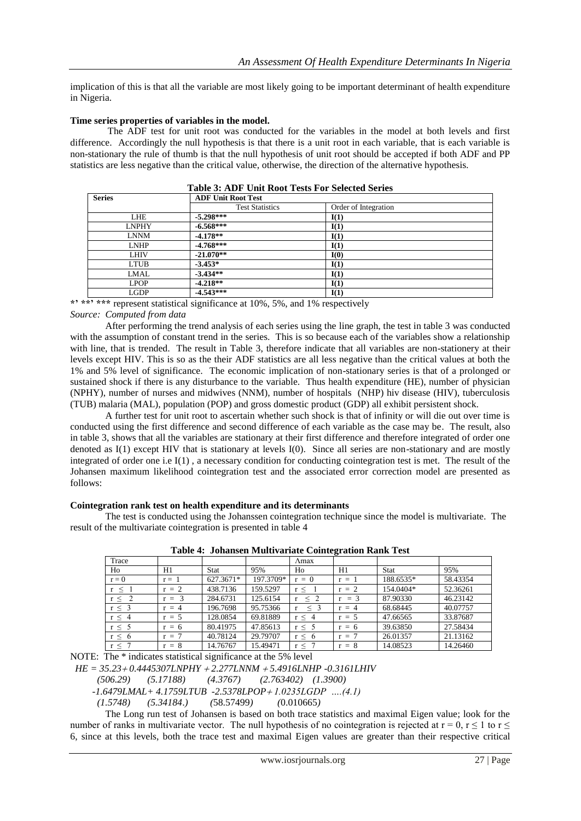implication of this is that all the variable are most likely going to be important determinant of health expenditure in Nigeria.

#### **Time series properties of variables in the model.**

The ADF test for unit root was conducted for the variables in the model at both levels and first difference. Accordingly the null hypothesis is that there is a unit root in each variable, that is each variable is non-stationary the rule of thumb is that the null hypothesis of unit root should be accepted if both ADF and PP statistics are less negative than the critical value, otherwise, the direction of the alternative hypothesis.

| <b>Series</b> | <b>ADF Unit Root Test</b> |                      |
|---------------|---------------------------|----------------------|
|               | <b>Test Statistics</b>    | Order of Integration |
| LHE           | $-5.298***$               | I(1)                 |
| LNPHY         | $-6.568***$               | I(1)                 |
| <b>LNNM</b>   | $-4.178**$                | I(1)                 |
| <b>LNHP</b>   | $-4.768***$               | I(1)                 |
| <b>LHIV</b>   | $-21.070**$               | I(0)                 |
| LTUB          | $-3.453*$                 | I(1)                 |
| LMAL          | $-3.434**$                | I(1)                 |
| <b>LPOP</b>   | $-4.218**$                | I(1)                 |
| LGDP          | $-4.543***$               | I(1)                 |

|  | <b>Table 3: ADF Unit Root Tests For Selected Series</b> |  |
|--|---------------------------------------------------------|--|
|--|---------------------------------------------------------|--|

**\*' \*\*' \*\*\*** represent statistical significance at 10%, 5%, and 1% respectively

#### *Source: Computed from data*

After performing the trend analysis of each series using the line graph, the test in table 3 was conducted with the assumption of constant trend in the series. This is so because each of the variables show a relationship with line, that is trended. The result in Table 3, therefore indicate that all variables are non-stationery at their levels except HIV. This is so as the their ADF statistics are all less negative than the critical values at both the 1% and 5% level of significance. The economic implication of non-stationary series is that of a prolonged or sustained shock if there is any disturbance to the variable. Thus health expenditure (HE), number of physician (NPHY), number of nurses and midwives (NNM), number of hospitals (NHP) hiv disease (HIV), tuberculosis (TUB) malaria (MAL), population (POP) and gross domestic product (GDP) all exhibit persistent shock.

A further test for unit root to ascertain whether such shock is that of infinity or will die out over time is conducted using the first difference and second difference of each variable as the case may be. The result, also in table 3, shows that all the variables are stationary at their first difference and therefore integrated of order one denoted as I(1) except HIV that is stationary at levels I(0). Since all series are non-stationary and are mostly integrated of order one i.e I(1) , a necessary condition for conducting cointegration test is met. The result of the Johansen maximum likelihood cointegration test and the associated error correction model are presented as follows:

#### **Cointegration rank test on health expenditure and its determinants**

The test is conducted using the Johanssen cointegration technique since the model is multivariate. The result of the multivariate cointegration is presented in table 4

| Trace      |         |             |           | $\Lambda$ max |         |           |          |
|------------|---------|-------------|-----------|---------------|---------|-----------|----------|
| Ho         | H1      | <b>Stat</b> | 95%       | Ho            | H1      | Stat      | 95%      |
| $r = 0$    | $r = 1$ | 627.3671*   | 197.3709* | $r = 0$       | $r = 1$ | 188.6535* | 58.43354 |
| $r \leq 1$ | $r = 2$ | 438.7136    | 159.5297  | r <           | $r = 2$ | 154.0404* | 52.36261 |
| $r \leq 2$ | $r = 3$ | 284.6731    | 125.6154  | $\leq 2$      | $r = 3$ | 87.90330  | 46.23142 |
| $r \leq 3$ | $r = 4$ | 196.7698    | 95.75366  | $\leq$ 3      | $r = 4$ | 68.68445  | 40.07757 |
| $r \leq 4$ | $r = 5$ | 128.0854    | 69.81889  | $r \leq 4$    | $r = 5$ | 47.66565  | 33.87687 |
| $r \leq 5$ | $r = 6$ | 80.41975    | 47.85613  | r < 5         | $r = 6$ | 39.63850  | 27.58434 |
| $r \leq 6$ | $= 7$   | 40.78124    | 29.79707  | r < 6         | $r = 7$ | 26.01357  | 21.13162 |
| $r \leq$   | $r = 8$ | 14.76767    | 15.49471  | r < 7         | $r = 8$ | 14.08523  | 14.26460 |

**Table 4: Johansen Multivariate Cointegration Rank Test**

NOTE: The \* indicates statistical significance at the 5% level

*HE* = 35.23 + 0.4445307LNPHY + 2.277LNNM + 5.4916LNHP -0.3161LHIV (506.29) (5.17188) (4.3767) (2.763402) (1.3900)

 *(506.29) (5.17188) (4.3767) (2.763402) (1.3900)*

 *-1.6479LMAL+ 4.1759LTUB -2.5378LPOP 1.0235LGDP ….(4.1)*

 *(1.5748) (5.34184*.*) (*58.57499*) (*0.010665*)* 

The Long run test of Johansen is based on both trace statistics and maximal Eigen value; look for the number of ranks in multivariate vector. The null hypothesis of no cointegration is rejected at  $r = 0$ ,  $r \le 1$  to  $r \le$ 6, since at this levels, both the trace test and maximal Eigen values are greater than their respective critical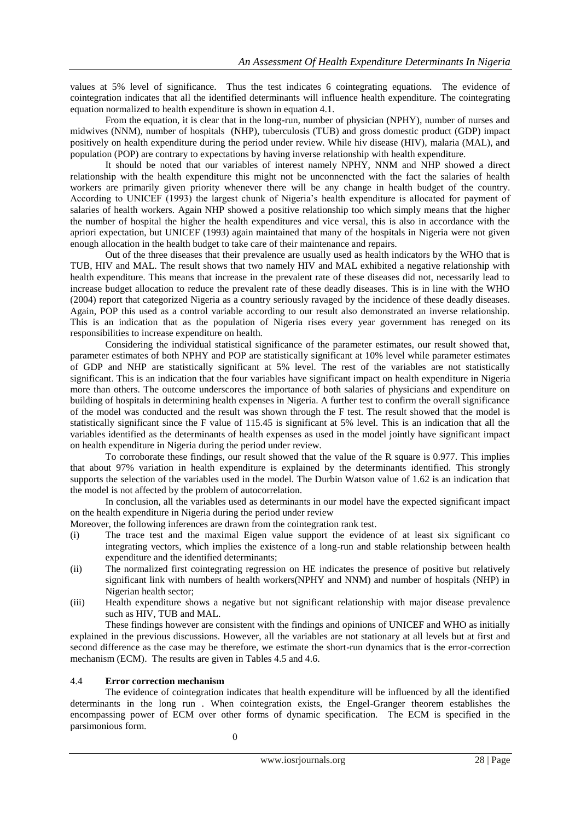values at 5% level of significance. Thus the test indicates 6 cointegrating equations. The evidence of cointegration indicates that all the identified determinants will influence health expenditure. The cointegrating equation normalized to health expenditure is shown in equation 4.1.

From the equation, it is clear that in the long-run, number of physician (NPHY), number of nurses and midwives (NNM), number of hospitals (NHP), tuberculosis (TUB) and gross domestic product (GDP) impact positively on health expenditure during the period under review. While hiv disease (HIV), malaria (MAL), and population (POP) are contrary to expectations by having inverse relationship with health expenditure.

It should be noted that our variables of interest namely NPHY, NNM and NHP showed a direct relationship with the health expenditure this might not be unconnencted with the fact the salaries of health workers are primarily given priority whenever there will be any change in health budget of the country. According to UNICEF (1993) the largest chunk of Nigeria"s health expenditure is allocated for payment of salaries of health workers. Again NHP showed a positive relationship too which simply means that the higher the number of hospital the higher the health expenditures and vice versal, this is also in accordance with the apriori expectation, but UNICEF (1993) again maintained that many of the hospitals in Nigeria were not given enough allocation in the health budget to take care of their maintenance and repairs.

 Out of the three diseases that their prevalence are usually used as health indicators by the WHO that is TUB, HIV and MAL. The result shows that two namely HIV and MAL exhibited a negative relationship with health expenditure. This means that increase in the prevalent rate of these diseases did not, necessarily lead to increase budget allocation to reduce the prevalent rate of these deadly diseases. This is in line with the WHO (2004) report that categorized Nigeria as a country seriously ravaged by the incidence of these deadly diseases. Again, POP this used as a control variable according to our result also demonstrated an inverse relationship. This is an indication that as the population of Nigeria rises every year government has reneged on its responsibilities to increase expenditure on health.

Considering the individual statistical significance of the parameter estimates, our result showed that, parameter estimates of both NPHY and POP are statistically significant at 10% level while parameter estimates of GDP and NHP are statistically significant at 5% level. The rest of the variables are not statistically significant. This is an indication that the four variables have significant impact on health expenditure in Nigeria more than others. The outcome underscores the importance of both salaries of physicians and expenditure on building of hospitals in determining health expenses in Nigeria. A further test to confirm the overall significance of the model was conducted and the result was shown through the F test. The result showed that the model is statistically significant since the F value of 115.45 is significant at 5% level. This is an indication that all the variables identified as the determinants of health expenses as used in the model jointly have significant impact on health expenditure in Nigeria during the period under review.

To corroborate these findings, our result showed that the value of the R square is 0.977. This implies that about 97% variation in health expenditure is explained by the determinants identified. This strongly supports the selection of the variables used in the model. The Durbin Watson value of 1.62 is an indication that the model is not affected by the problem of autocorrelation.

In conclusion, all the variables used as determinants in our model have the expected significant impact on the health expenditure in Nigeria during the period under review

Moreover, the following inferences are drawn from the cointegration rank test.

- (i) The trace test and the maximal Eigen value support the evidence of at least six significant co integrating vectors, which implies the existence of a long-run and stable relationship between health expenditure and the identified determinants;
- (ii) The normalized first cointegrating regression on HE indicates the presence of positive but relatively significant link with numbers of health workers(NPHY and NNM) and number of hospitals (NHP) in Nigerian health sector;
- (iii) Health expenditure shows a negative but not significant relationship with major disease prevalence such as HIV, TUB and MAL.

These findings however are consistent with the findings and opinions of UNICEF and WHO as initially explained in the previous discussions. However, all the variables are not stationary at all levels but at first and second difference as the case may be therefore, we estimate the short-run dynamics that is the error-correction mechanism (ECM). The results are given in Tables 4.5 and 4.6.

#### 4.4 **Error correction mechanism**

The evidence of cointegration indicates that health expenditure will be influenced by all the identified determinants in the long run . When cointegration exists, the Engel-Granger theorem establishes the encompassing power of ECM over other forms of dynamic specification. The ECM is specified in the parsimonious form.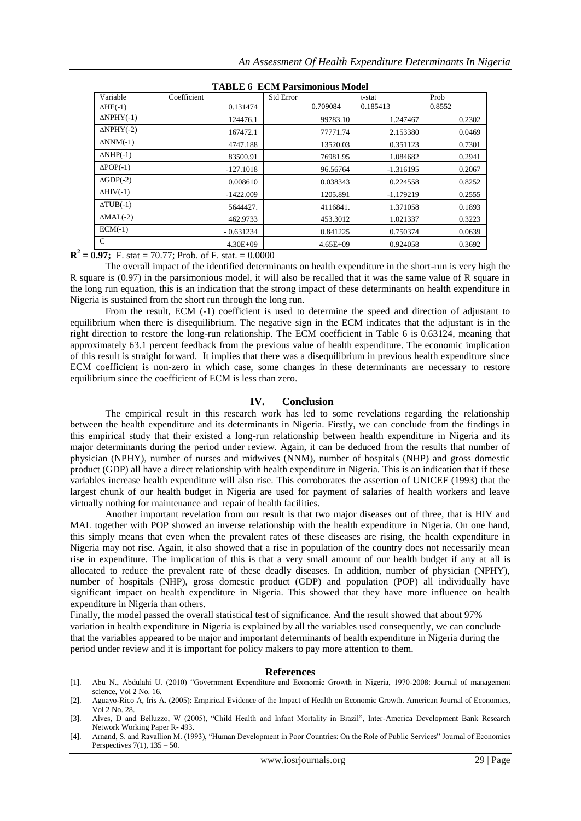| <u>on a macamomo no havuv</u> |              |                  |             |        |  |  |  |
|-------------------------------|--------------|------------------|-------------|--------|--|--|--|
| Variable                      | Coefficient  | <b>Std Error</b> | t-stat      | Prob   |  |  |  |
| $\Delta HE(-1)$               | 0.131474     | 0.709084         | 0.185413    | 0.8552 |  |  |  |
| $\Delta NPHY(-1)$             | 124476.1     | 99783.10         | 1.247467    | 0.2302 |  |  |  |
| $\Delta NPHY(-2)$             | 167472.1     | 77771.74         | 2.153380    | 0.0469 |  |  |  |
| $\Delta NNM(-1)$              | 4747.188     | 13520.03         | 0.351123    | 0.7301 |  |  |  |
| $\triangle NHP(-1)$           | 83500.91     | 76981.95         | 1.084682    | 0.2941 |  |  |  |
| $\Delta POP(-1)$              | $-127.1018$  | 96.56764         | $-1.316195$ | 0.2067 |  |  |  |
| $\triangle GDP(-2)$           | 0.008610     | 0.038343         | 0.224558    | 0.8252 |  |  |  |
| $\Delta HIV(-1)$              | $-1422.009$  | 1205.891         | $-1.179219$ | 0.2555 |  |  |  |
| $\triangle TUB(-1)$           | 5644427.     | 4116841.         | 1.371058    | 0.1893 |  |  |  |
| $\triangle MAL(-2)$           | 462.9733     | 453.3012         | 1.021337    | 0.3223 |  |  |  |
| $ECM(-1)$                     | $-0.631234$  | 0.841225         | 0.750374    | 0.0639 |  |  |  |
| C                             | $4.30E + 09$ | $4.65E + 09$     | 0.924058    | 0.3692 |  |  |  |

**TABLE 6 ECM Parsimonious Model**

 $\mathbf{R}^2 = 0.97$ ; F. stat = 70.77; Prob. of F. stat. = 0.0000

The overall impact of the identified determinants on health expenditure in the short-run is very high the R square is (0.97) in the parsimonious model, it will also be recalled that it was the same value of R square in the long run equation, this is an indication that the strong impact of these determinants on health expenditure in Nigeria is sustained from the short run through the long run.

From the result, ECM (-1) coefficient is used to determine the speed and direction of adjustant to equilibrium when there is disequilibrium. The negative sign in the ECM indicates that the adjustant is in the right direction to restore the long-run relationship. The ECM coefficient in Table 6 is 0.63124, meaning that approximately 63.1 percent feedback from the previous value of health expenditure. The economic implication of this result is straight forward. It implies that there was a disequilibrium in previous health expenditure since ECM coefficient is non-zero in which case, some changes in these determinants are necessary to restore equilibrium since the coefficient of ECM is less than zero.

#### **IV. Conclusion**

The empirical result in this research work has led to some revelations regarding the relationship between the health expenditure and its determinants in Nigeria. Firstly, we can conclude from the findings in this empirical study that their existed a long-run relationship between health expenditure in Nigeria and its major determinants during the period under review. Again, it can be deduced from the results that number of physician (NPHY), number of nurses and midwives (NNM), number of hospitals (NHP) and gross domestic product (GDP) all have a direct relationship with health expenditure in Nigeria. This is an indication that if these variables increase health expenditure will also rise. This corroborates the assertion of UNICEF (1993) that the largest chunk of our health budget in Nigeria are used for payment of salaries of health workers and leave virtually nothing for maintenance and repair of health facilities.

Another important revelation from our result is that two major diseases out of three, that is HIV and MAL together with POP showed an inverse relationship with the health expenditure in Nigeria. On one hand, this simply means that even when the prevalent rates of these diseases are rising, the health expenditure in Nigeria may not rise. Again, it also showed that a rise in population of the country does not necessarily mean rise in expenditure. The implication of this is that a very small amount of our health budget if any at all is allocated to reduce the prevalent rate of these deadly diseases. In addition, number of physician (NPHY), number of hospitals (NHP), gross domestic product (GDP) and population (POP) all individually have significant impact on health expenditure in Nigeria. This showed that they have more influence on health expenditure in Nigeria than others.

Finally, the model passed the overall statistical test of significance. And the result showed that about 97% variation in health expenditure in Nigeria is explained by all the variables used consequently, we can conclude that the variables appeared to be major and important determinants of health expenditure in Nigeria during the period under review and it is important for policy makers to pay more attention to them.

#### **References**

- [1]. Abu N., Abdulahi U. (2010) "Government Expenditure and Economic Growth in Nigeria, 1970-2008: Journal of management science, Vol 2 No. 16.
- [2]. Aguayo-Rico A, Iris A. (2005): Empirical Evidence of the Impact of Health on Economic Growth. American Journal of Economics, Vol 2 No. 28.
- [3]. Alves, D and Belluzzo, W (2005), "Child Health and Infant Mortality in Brazil", Inter-America Development Bank Research Network Working Paper R- 493.
- [4]. Arnand, S. and Ravallion M. (1993), "Human Development in Poor Countries: On the Role of Public Services" Journal of Economics Perspectives  $7(1)$ ,  $135 - 50$ .